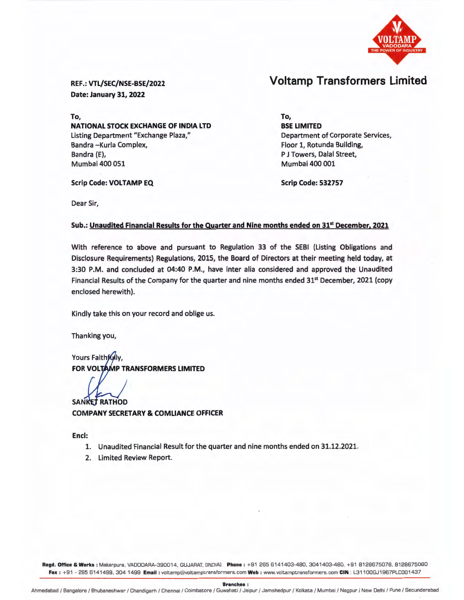

# Voltamp Transformers Limited

REF.: VTL/SEC/NSE-BSE/2022 Date: January 31, 2022

Scrip Code: VOLTAMP EQ

To, NATIONAL STOCK EXCHANGE OF INDIA LTD Listing Department "Exchange Plaza," Bandra -Kurla Complex, Bandra (E), Mumbai 400 051

To, BSE LIMITED Department of Corporate Services, Floor 1, Rotunda Building, P J Towers, Dalal Street, Mumbai 400 001

Scrip Code: 532757

Dear Sir,

## Sub.: Unaudited Financial Results for the Quarter and Nine months ended on 31st December, 2021

With reference to above and pursuant to Regulation 33 of the SEBI (Listing Obligations and Disclosure Requirements) Regulations, 2015, the Board of Directors at their meeting held today, at 3:30 P.M. and concluded at 04:40 P.M., have inter alia considered and approved the Unaudited Financial Results of the Company for the quarter and nine months ended 31<sup>st</sup> December, 2021 (copy enclosed herewith).

Kindly take this on your record and oblige us.

Thanking you,

Yours Faithfully, FOR VOLTAMP TRANSFORMERS LIMITED

**SANKET RATHOD** 

COMPANY SECRETARY & COMLIANCE OFFICER

Encl:

- 1. Unaudited Financial Result for the quarter and nine months ended on 31.12.2021.
- 2. Limited Review Report.

Regd. Office & Works: Makarpura, VADODARA-390014, GUJARAT, [INDIA] Phone: +91 265 6141403-480, 3041403-480, +91 8128675078, 8128675080 Fax: +91 - 265 6141499, 304 1499 Email: voltamp@voltamptransformers.com Web: www.voltamptransformers.com CIN: L31100GJ1967PLC001437

Branches: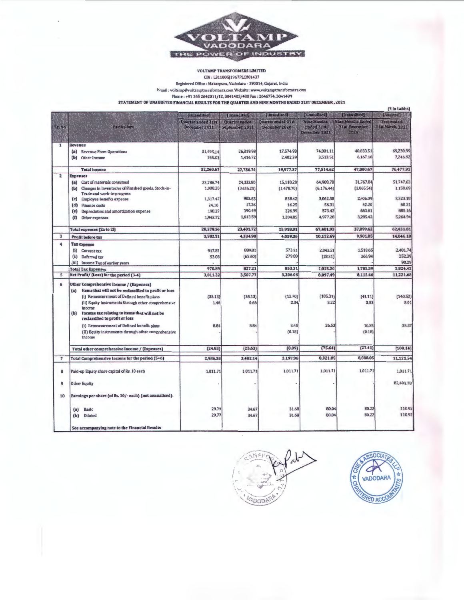

#### VOLTAMP TRANSFORMERS UMITED

CIN : l31100GJ1967PLC001437

Registered Office : Makarpura, Vadodara • 390014, Gujarat. India **Email : voltamp@voltamptrdnsformcrs.comWebsite:www.volt.amptransfonners.com** 

Phone: +91 265 2642011/12, 3041403/480 Fax: 2646774, 3041499

STATEMENT OF UNAUDITED FINANCIAL RESULTS FOR THE QUARTER AND NINE MONTHS ENDED 31ST DECEMBER, 2021

|                         | Particulars                                                                                                                                                                                                                                                                                                      | [Unanilted]                                | {Unandited}                                  | [Unavailled]                        | [Linnadiled]                               | [Unaudios]                                          | [Audited]                        |
|-------------------------|------------------------------------------------------------------------------------------------------------------------------------------------------------------------------------------------------------------------------------------------------------------------------------------------------------------|--------------------------------------------|----------------------------------------------|-------------------------------------|--------------------------------------------|-----------------------------------------------------|----------------------------------|
| Stehlo                  |                                                                                                                                                                                                                                                                                                                  | <b>Quarter anded 31st</b><br>December 2021 | Quarter raded<br>September <sub>1</sub> 2021 | Quarter ended 31st<br>December 2020 | Nine Mouths<br>Euded 31st<br>December 2021 | <b>Nine Mouths Ended</b><br>31st Decrimber<br>21911 | Truy ended<br>3 Eat. March, 2021 |
| $\mathbf{1}$            | Revenue                                                                                                                                                                                                                                                                                                          |                                            |                                              |                                     |                                            |                                                     |                                  |
|                         | (a) Revenue From Operations<br>(b) Other Income                                                                                                                                                                                                                                                                  | 31.495.14<br>765.53                        | 26,319.98<br>1,416.72                        | 17,574.98<br>2,402.39               | 74,001.11<br>3,513.51                      | 40,833.51<br>6,167.16                               | 69,230.99<br>7,246.92            |
|                         | <b>Total</b> income                                                                                                                                                                                                                                                                                              | 32,260.67                                  | 27,736.70                                    | 19,977.37                           | 77,514.62                                  | 47,000.67                                           | 76,477.91                        |
| $\overline{\mathbf{z}}$ | <b>Expenses</b>                                                                                                                                                                                                                                                                                                  |                                            |                                              |                                     |                                            |                                                     |                                  |
|                         | (a) Cost of materials consumed                                                                                                                                                                                                                                                                                   | 23,786.74                                  | 24,333.80                                    | 15,110.20                           | 64,908.78                                  | 31,767.84                                           | 51,747.63                        |
|                         | (b) Changes in Inventories of Pinished goods, Stock-in-                                                                                                                                                                                                                                                          | 1,008.20                                   | (3,656.25)                                   | (1,478.70)                          | (6, 176.44)                                | (1,065.54)                                          | 1,150.69                         |
|                         | Trade and work-in-progress<br>Employee benefits expense<br>(c)                                                                                                                                                                                                                                                   | 1,317.47                                   | 902.83                                       | 838.42                              | 3,062.58                                   | 2,406.09                                            | 3,323.18                         |
|                         | (d) Finance costs                                                                                                                                                                                                                                                                                                | 24.16                                      | 17.26                                        | 16.25                               | 56.31                                      | 42.20                                               | 60.21                            |
|                         | (e) Depreciation and amortization expense                                                                                                                                                                                                                                                                        | 198.27                                     | 190.49                                       | 226.99                              | 573.42                                     | 663.61                                              | 885.16                           |
|                         | $($ f)<br>Other expenses                                                                                                                                                                                                                                                                                         | 1,943.72                                   | 1,613.59                                     | 1,204.85                            | 4,977.28                                   | 3,285.42                                            | 5,264.94                         |
|                         | Total expenses (2a to 2f)                                                                                                                                                                                                                                                                                        | 28,278.56                                  | 23,401.72                                    | 15,918.01                           | 67,401.93                                  | 37,099.62                                           | 62,431.81                        |
| 3                       | Profit before tax                                                                                                                                                                                                                                                                                                | 3,982.11                                   | 4,334.98                                     | 4,059.36                            | 10,112.69                                  | 9.901.05                                            | 14,046.10                        |
| 4                       | <b>Tax expense</b>                                                                                                                                                                                                                                                                                               |                                            |                                              |                                     |                                            |                                                     |                                  |
|                         | (i) Current tax                                                                                                                                                                                                                                                                                                  | 917.81                                     | 889.81                                       | 573.51                              | 2,043.51                                   | 1.518.65                                            | 2,481.74                         |
|                         | (ii) Deferred tax                                                                                                                                                                                                                                                                                                | 53.08                                      | (62.60)                                      | 279.80                              | (28.31)                                    | 266.94                                              | 252.39                           |
|                         | (iii) Income Tax of earlier years                                                                                                                                                                                                                                                                                |                                            |                                              |                                     |                                            |                                                     | 90.29                            |
|                         | <b>Total Tax Expenses</b>                                                                                                                                                                                                                                                                                        | 970.89                                     | 827.21                                       | 853.31                              | 2,015.20                                   | 1,785.59                                            | 2,824.42                         |
| $\mathsf{s}$            | Net Profit/ (Loss) for the period (3-4)                                                                                                                                                                                                                                                                          | 3,011.22                                   | 3,507.77                                     | 3,206.05                            | 8,097.49                                   | 8,115.46                                            | 11,221.68                        |
| 6                       | Other Comprehensive income / (Expenses)<br>Items that will not be reclassified to profit or loss<br>(a)<br>(i) Remeasurement of Defined benefit plans<br>(ii) Equity instruments through other comprehensive<br>income<br>Income tax relating to items that will not be<br>(b)<br>reclassified to profit or loss | (35.13)<br>1.46                            | (35.13)<br>0.66                              | (13.70)<br>2.34                     | (105.39)<br>3.22                           | (41.11)<br>3.53                                     | (140.52)<br>5.01                 |
|                         | (i) Remeasurement of Defined benefit plans<br>(II) Equity instruments through other comprehensive<br>income                                                                                                                                                                                                      | 8.84                                       | 8.84                                         | 3.45<br>(0.18)                      | 26.53                                      | 10.35<br>(0.18)                                     | 35.37                            |
|                         | Total other comprehensive Income / (Expenses)                                                                                                                                                                                                                                                                    | (24.83)                                    | (25.63)                                      | (8.09)                              | (75.64)                                    | (27.41)                                             | (100.14)                         |
|                         | Total Comprehensive Income for the period (5+6)                                                                                                                                                                                                                                                                  | 2,986.38                                   | 3,482.14                                     | 3,197.96                            | 8,021.85                                   | 8,088.05                                            | 11,121.54                        |
| 8                       | Paid-up Equity share capital of Rs. 10 each                                                                                                                                                                                                                                                                      | 1,011.71                                   | 1,011.71                                     | 1,011.71                            | 1,011.71                                   | 1,011.71                                            | 1,011.71                         |
| 9                       | <b>Other Equity</b>                                                                                                                                                                                                                                                                                              |                                            |                                              |                                     |                                            |                                                     | 82,403.78                        |
| 10                      | Earnings per share (of Rs. 10/- each) (not annualised):                                                                                                                                                                                                                                                          |                                            |                                              |                                     |                                            |                                                     |                                  |
|                         | <b>Basic</b><br>(a)                                                                                                                                                                                                                                                                                              | 29.77                                      | 34.67                                        | 31.68                               | 80.04                                      | 80.22                                               | 110.92                           |
|                         | Diluted<br>(b)                                                                                                                                                                                                                                                                                                   | 29.77                                      | 34.67                                        | 31.68                               | 80.04                                      | 80.22                                               | 110.92                           |
|                         | See accompanying note to the Financial Results                                                                                                                                                                                                                                                                   |                                            |                                              |                                     |                                            |                                                     |                                  |



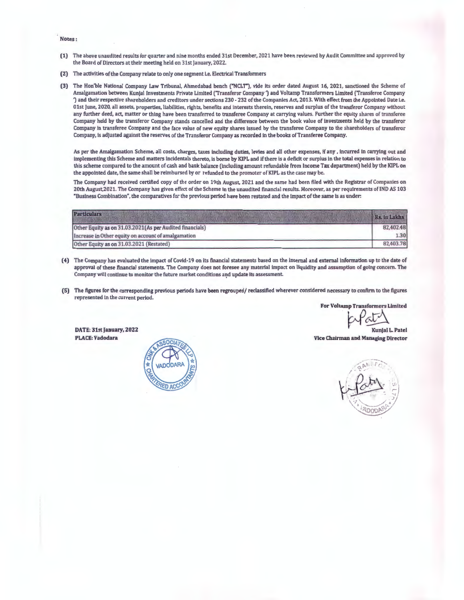Notes:

- (1) The above unaudited results for quarter and nine months ended 31st December, 2021 have been reviewed by Audit Committee and approved by the Board of Directors at their meeting held on 31st January, 2022.
- (2) The activities of the Company relate to only one segment i.e. Electrical Transformers
- (3) The Hon'ble National Company Law Tribunal, Ahmedabad bench ("NCLT"), vide its order dated August 16, 2021, sanctioned the Scheme of Amalgamation between Kunjal Investments Private Limited ('Transferor Company 1 aud Voltamp Transformers Limited ('Transferee Company ') and their respective shareholders and creditors under sections 230 - 232 of the Companies Act, 2013. With effect from the Appointed Date i.e. 01st June, 2020, all assets, properties, liabilities, rights, benefits and interests therein, reserves and surplus of the transferor Company without any further deed, act, matter or thing have been transferred to transferee Company at carrying values. Further the equity shares of transferee Company held by the transferor Company stands cancelled and the difference between the book value of investments held by the transferor Company in transferee Company and the face value of new equity shares issued by the transferee Company to the shareholders of transferor Company, is adjusted against the reserves of the Transferor Company as recorded in the books of Transferee Company.

As per the Amalgamation Scheme, all costs, charges, taxes including duties, levies and all other expenses, if any, incurred in carrying out and implementing this Scheme and matters incidentals thereto, is borne by KIPL and if there is a deficit or surplus in the total expenses in relation to this scheme compared to the amount of cash and bank balance (including amount refundable from Income Tax department) held by the KIPL on the appointed date, the same shall be reimbursed by or refunded to the promoter ofKIPL as the case may be.

The Company had received certified copy of the order on 19th August, 2021 and the same had been filed with the Registrar of Companies on 20th August,2021. The Company has given effect of the Scheme in the unaudited financial results. Moreover, as per requirements of IND AS 103 "Business Combination·, the comparatives for the previous period have been restated and the impact of the same is as under:

| <b>Particulars</b>                                        | Rs. in Lakhs |  |
|-----------------------------------------------------------|--------------|--|
| Other Equity as on 31.03.2021 (As per Audited financials) |              |  |
| Increase in Other equity on account of amalgamation       |              |  |
| Other Equity as on 31.03.2021 (Restated)                  | 82,403.78    |  |

- (4) The Company has evaluated the impact of Covid-19 on its financial statements based on the internal and external information up to the date of approval of these financial statements. The Company does not foresee any material Impact on liquidity and assumption of going concern. The Company will continue to monitor the future market conditions a~d update its assessment.
- (5) The figures for the corresponding previous periods have been regrouped/ reclassified wherever considered necessary to confirm to the figures represented In the current period.

For Voltamp Transformers Limited

Kunjal L. Patel

DATE: 31st January, 2022 PLACE: Vadodara



Vice Chairman and Managing Director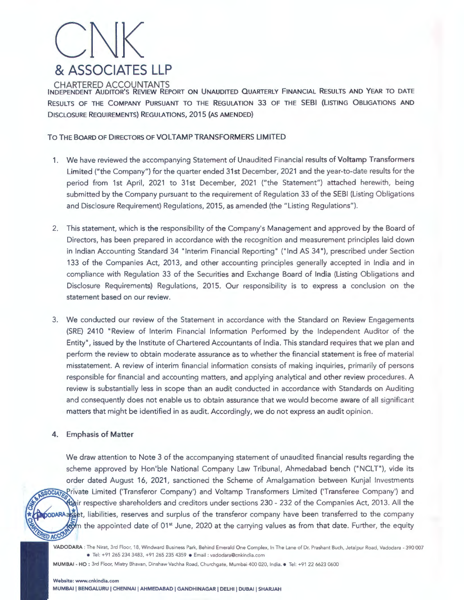

INDEPENDENT AUDITOR'S REVIEW REPORT ON UNAUDITED QUARTERLY FINANCIAL RESULTS AND YEAR TO DATE RESULTS OF THE COMPANY PURSUANT TO THE REGULATION 33 OF THE SEBI (LISTING OBLIGATIONS AND DISCLOSURE REQUIREMENTS) REGULATIONS, 2015 (AS AMENDED)

### TO THE BOARD OF DIRECTORS OF VOLTAMP TRANSFORMERS LIMITED

- 1. We have reviewed the accompanying Statement of Unaudited Financial results of Voltamp Transformers Limited ("the Company") for the quarter ended 31st December, 2021 and the year-to-date results for the period from 1st April, 2021 to 31st December, 2021 ("the Statement") attached herewith, being submitted by the Company pursuant to the requirement of Regulation 33 of the SEBI (Listing Obligations and Disclosure Requirement) Regulations, 2015, as amended (the "Listing Regulations").
- 2. This statement, which is the responsibility of the Company's Management and approved by the Board of Directors, has been prepared in accordance with the recognition and measurement principles laid down in Indian Accounting Standard 34 "Interim Financial Reporting" ("Ind AS 34"), prescribed under Section 133 of the Companies Act, 2013, and other accounting principles generally accepted in India and in compliance with Regulation 33 of the Securities and Exchange Board of India (Listing Obligations and Disclosure Requirements) Regulations, 2015. Our responsibility is to express a conclusion on the statement based on our review.
- 3. We conducted our review of the Statement in accordance with the Standard on Review Engagements (SRE) 2410 "Review of Interim Financial Information Performed by the Independent Auditor of the Entity", issued by the Institute of Chartered Accountants of India. This standard requires that we plan and perform the review to obtain moderate assurance as to whether the financial statement is free of material misstatement. A review of interim financial information consists of making inquiries, primarily of persons responsible for financial and accounting matters, and applying analytical and other review procedures. A review is substantially less in scope than an audit conducted in accordance with Standards on Auditing and consequently does not enable us to obtain assurance that we would become aware of all significant matters that might be identified in as audit. Accordingly, we do not express an audit opinion.

## 4. Emphasis of Matter

We draw attention to Note 3 of the accompanying statement of unaudited financial results regarding the scheme approved by Hon'ble National Company Law Tribunal, Ahmedabad bench ("NCLT"), vide its order dated August 16, 2021, sanctioned the Scheme of Amalgamation between Kunjal Investments SSOCIATE Private Limited ('Transferor Company') and Voltamp Transformers Limited ('Transferee Company') and asir respective shareholders and creditors under sections 230 - 232 of the Companies Act, 2013. All the والكلة popara  $\frac{1}{2}$ t, liabilities, reserves and surplus of the transferor company have been transferred to the company  $t_{\rm s}$  the appointed date of 01 $^{\rm st}$  June, 2020 at the carrying values as from that date. Further, the equity

VADODARA : The Nirat, 3rd Floor, 18, Windward Business Park, Behind Emerald One Complex, In The Lane of Dr. Prashant Buch, Jetalpur Road, Vadodara - 390 007 • Tel: +91 265 234 3483, +91 265 235 4359 • Email : vadodara@cnkindia.com

MUMBAI - HO : 3rd Floor, Mistry Bhavan, Dinshaw Vachha Road, Churchgate, Mumbai 400 020, India. • Tel: +91 22 6623 0600

RED ACCO

MUMBAI I BENGALURU I CHENNAI I AHMEDABAD I GANDHINAGAR I DELHI I DUBAI I SHARJAH